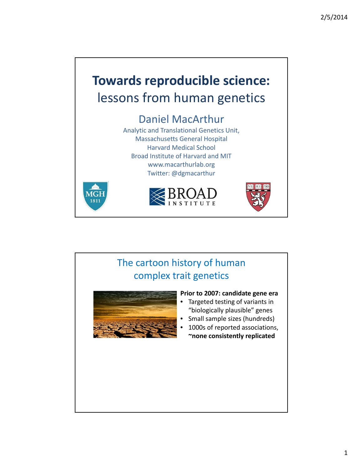

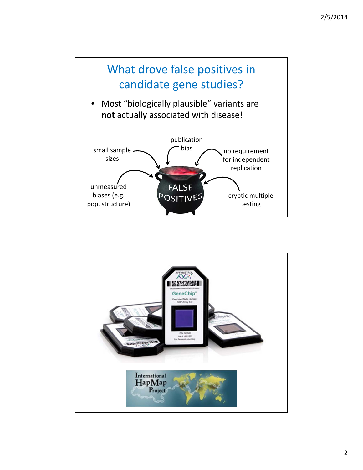

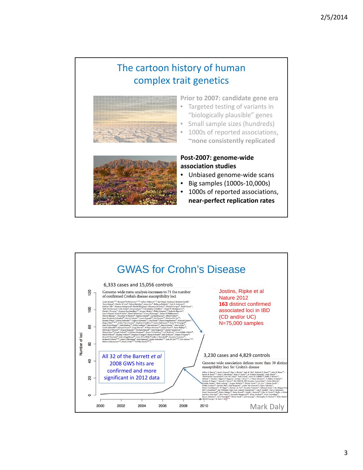



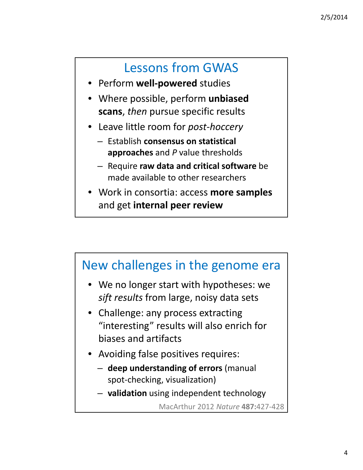## Lessons from GWAS

- Perform **well‐powered** studies
- Where possible, perform **unbiased scans**, *then* pursue specific results
- Leave little room for *post‐hoccery*
	- Establish **consensus on statistical approaches** and *P* value thresholds
	- Require **raw data and critical software** be made available to other researchers
- Work in consortia: access **more samples** and get **internal peer review**